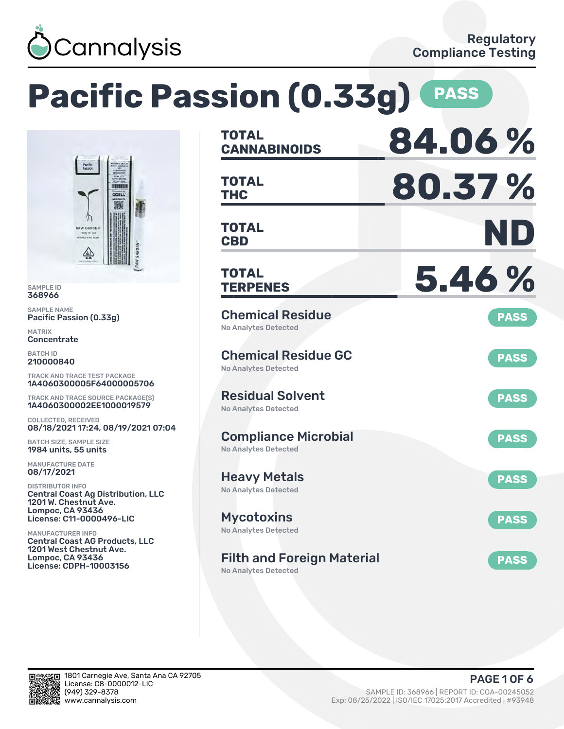

# **Pacific Passion (0.33g) PASS TOTAL CANNABINOIDS 84.06 % TOTAL**

SAMPLE ID 368966

SAMPLE NAME Pacific Passion (0.33g)

MATRIX Concentrate

BATCH ID 210000840

TRACK AND TRACE TEST PACKAGE 1A4060300005F64000005706

TRACK AND TRACE SOURCE PACKAGE(S) 1A4060300002EE1000019579

COLLECTED, RECEIVED 08/18/2021 17:24, 08/19/2021 07:04

BATCH SIZE, SAMPLE SIZE 1984 units, 55 units

MANUFACTURE DATE 08/17/2021

DISTRIBUTOR INFO Central Coast Ag Distribution, LLC 1201 W. Chestnut Ave. Lompoc, CA 93436 License: C11-0000496-LIC

MANUFACTURER INFO Central Coast AG Products, LLC 1201 West Chestnut Ave. Lompoc, CA 93436 License: CDPH-10003156

| IUIAL<br><b>CANNABINOIDS</b>                               | 84.06%      |
|------------------------------------------------------------|-------------|
| <b>TOTAL</b><br><b>THC</b>                                 | 80.37%      |
| <b>TOTAL</b><br><b>CBD</b>                                 | ND          |
| TOTAL<br><b>TERPENES</b>                                   | 5.46%       |
| <b>Chemical Residue</b><br><b>No Analytes Detected</b>     | <b>PASS</b> |
| <b>Chemical Residue GC</b><br><b>No Analytes Detected</b>  | <b>PASS</b> |
| <b>Residual Solvent</b><br><b>No Analytes Detected</b>     | <b>PASS</b> |
| <b>Compliance Microbial</b><br><b>No Analytes Detected</b> | <b>PASS</b> |
| <b>Heavy Metals</b><br><b>No Analytes Detected</b>         | <b>PASS</b> |
| Mycotoxins<br>No Analytes Detected                         | <b>PASS</b> |
| <b>Filth and Foreign Material</b>                          | <b>PASS</b> |

No Analytes Detected

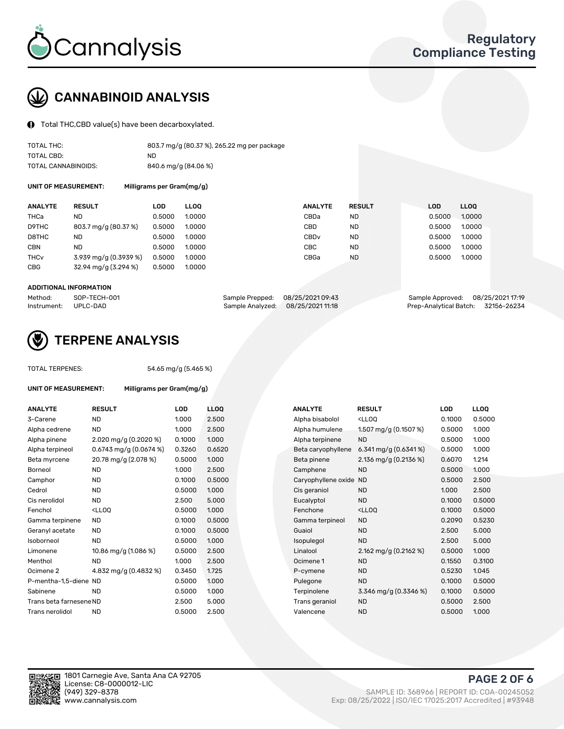

# CANNABINOID ANALYSIS

Total THC,CBD value(s) have been decarboxylated.

| TOTAL THC:          | 803.7 mg/g (80.37%), 265.22 mg per package |
|---------------------|--------------------------------------------|
| TOTAL CBD:          | ND                                         |
| TOTAL CANNABINOIDS: | 840.6 mg/g (84.06 %)                       |

UNIT OF MEASUREMENT: Milligrams per Gram(mg/g)

| <b>ANALYTE</b>         | <b>RESULT</b>         | LOD    | <b>LLOO</b> | <b>ANALYTE</b>   | <b>RESULT</b> | <b>LOD</b> | LL <sub>00</sub> |
|------------------------|-----------------------|--------|-------------|------------------|---------------|------------|------------------|
| THCa                   | ND                    | 0.5000 | 1.0000      | CBDa             | <b>ND</b>     | 0.5000     | 1.0000           |
| D9THC                  | 803.7 mg/g (80.37 %)  | 0.5000 | 1.0000      | CBD              | <b>ND</b>     | 0.5000     | 1.0000           |
| D8THC                  | <b>ND</b>             | 0.5000 | 1.0000      | CBD <sub>v</sub> | <b>ND</b>     | 0.5000     | 1.0000           |
| <b>CBN</b>             | <b>ND</b>             | 0.5000 | 1.0000      | CBC              | <b>ND</b>     | 0.5000     | 1.0000           |
| <b>THC<sub>v</sub></b> | 3.939 mg/g (0.3939 %) | 0.5000 | 1.0000      | CBGa             | <b>ND</b>     | 0.5000     | 1.0000           |
| <b>CBG</b>             | 32.94 mg/g (3.294 %)  | 0.5000 | 1.0000      |                  |               |            |                  |
|                        |                       |        |             |                  |               |            |                  |

#### ADDITIONAL INFORMATION

| Method:              | SOP-TECH-001 | Sample Prepped: 08/25/202109:43   | Sample Approved: 08/25/2021 17:19  |  |
|----------------------|--------------|-----------------------------------|------------------------------------|--|
| Instrument: UPLC-DAD |              | Sample Analyzed: 08/25/2021 11:18 | Prep-Analytical Batch: 32156-26234 |  |



## TERPENE ANALYSIS

TOTAL TERPENES: 54.65 mg/g (5.465 %)

| UNIT OF MEASUREMENT:    | Milligrams per Gram(mg/g)                                     |        |                   |  |  |  |
|-------------------------|---------------------------------------------------------------|--------|-------------------|--|--|--|
| <b>ANALYTE</b>          | <b>RESULT</b>                                                 | LOD    | <b>LLO</b>        |  |  |  |
| 3-Carene                | <b>ND</b>                                                     | 1.000  | 2.50              |  |  |  |
| Alpha cedrene           | <b>ND</b>                                                     | 1.000  | 2.50              |  |  |  |
| Alpha pinene            | 2.020 mg/g $(0.2020\%)$                                       | 0.1000 | 1.00 <sub>1</sub> |  |  |  |
| Alpha terpineol         | $0.6743$ mg/g $(0.0674%)$                                     | 0.3260 | 0.65              |  |  |  |
| Beta myrcene            | 20.78 mg/g (2.078 %)                                          | 0.5000 | 1.00              |  |  |  |
| Borneol                 | <b>ND</b>                                                     | 1.000  | 2.50              |  |  |  |
| Camphor                 | <b>ND</b>                                                     | 0.1000 | 0.50              |  |  |  |
| Cedrol                  | <b>ND</b>                                                     | 0.5000 | 1.00              |  |  |  |
| Cis nerolidol           | <b>ND</b>                                                     | 2.500  | 5.00              |  |  |  |
| Fenchol                 | <ll00< td=""><td>0.5000</td><td>1.00<sub>1</sub></td></ll00<> | 0.5000 | 1.00 <sub>1</sub> |  |  |  |
| Gamma terpinene         | <b>ND</b>                                                     | 0.1000 | 0.50              |  |  |  |
| Geranyl acetate         | <b>ND</b>                                                     | 0.1000 | 0.50              |  |  |  |
| Isoborneol              | <b>ND</b>                                                     | 0.5000 | 1.00              |  |  |  |
| Limonene                | 10.86 mg/g (1.086 %)                                          | 0.5000 | 2.50              |  |  |  |
| Menthol                 | <b>ND</b>                                                     | 1.000  | 2.50              |  |  |  |
| Ocimene <sub>2</sub>    | 4.832 mg/g (0.4832 %)                                         | 0.3450 | 1.725             |  |  |  |
| P-mentha-1,5-diene ND   |                                                               | 0.5000 | 1.00              |  |  |  |
| Sabinene                | <b>ND</b>                                                     | 0.5000 | 1.00              |  |  |  |
| Trans beta farnesene ND |                                                               | 2.500  | 5.00              |  |  |  |
| Trans nerolidol         | <b>ND</b>                                                     | 0.5000 | 2.50              |  |  |  |

| <b>ANALYTE</b>          | <b>RESULT</b>                                                                                                                   | <b>LOD</b> | <b>LLOQ</b> | <b>ANALYTE</b>         | <b>RESULT</b>                                       | LOD    | <b>LLOQ</b> |
|-------------------------|---------------------------------------------------------------------------------------------------------------------------------|------------|-------------|------------------------|-----------------------------------------------------|--------|-------------|
| 3-Carene                | <b>ND</b>                                                                                                                       | 1.000      | 2.500       | Alpha bisabolol        | <lloq< td=""><td>0.1000</td><td>0.5000</td></lloq<> | 0.1000 | 0.5000      |
| Alpha cedrene           | <b>ND</b>                                                                                                                       | 1.000      | 2.500       | Alpha humulene         | 1.507 mg/g (0.1507 %)                               | 0.5000 | 1.000       |
| Alpha pinene            | 2.020 mg/g $(0.2020\%)$                                                                                                         | 0.1000     | 1.000       | Alpha terpinene        | <b>ND</b>                                           | 0.5000 | 1.000       |
| Alpha terpineol         | $0.6743$ mg/g $(0.0674%)$                                                                                                       | 0.3260     | 0.6520      | Beta caryophyllene     | 6.341 mg/g $(0.6341\%)$                             | 0.5000 | 1.000       |
| Beta myrcene            | 20.78 mg/g (2.078 %)                                                                                                            | 0.5000     | 1.000       | Beta pinene            | 2.136 mg/g (0.2136 %)                               | 0.6070 | 1.214       |
| Borneol                 | <b>ND</b>                                                                                                                       | 1.000      | 2.500       | Camphene               | <b>ND</b>                                           | 0.5000 | 1.000       |
| Camphor                 | <b>ND</b>                                                                                                                       | 0.1000     | 0.5000      | Caryophyllene oxide ND |                                                     | 0.5000 | 2.500       |
| Cedrol                  | <b>ND</b>                                                                                                                       | 0.5000     | 1.000       | Cis geraniol           | <b>ND</b>                                           | 1.000  | 2.500       |
| Cis nerolidol           | <b>ND</b>                                                                                                                       | 2.500      | 5.000       | Eucalyptol             | <b>ND</b>                                           | 0.1000 | 0.5000      |
| Fenchol                 | <lloq< td=""><td>0.5000</td><td>1.000</td><td>Fenchone</td><td><lloq< td=""><td>0.1000</td><td>0.5000</td></lloq<></td></lloq<> | 0.5000     | 1.000       | Fenchone               | <lloq< td=""><td>0.1000</td><td>0.5000</td></lloq<> | 0.1000 | 0.5000      |
| Gamma terpinene         | <b>ND</b>                                                                                                                       | 0.1000     | 0.5000      | Gamma terpineol        | <b>ND</b>                                           | 0.2090 | 0.5230      |
| Geranyl acetate         | ND.                                                                                                                             | 0.1000     | 0.5000      | Guaiol                 | <b>ND</b>                                           | 2.500  | 5.000       |
| Isoborneol              | <b>ND</b>                                                                                                                       | 0.5000     | 1.000       | Isopulegol             | <b>ND</b>                                           | 2.500  | 5.000       |
| Limonene                | 10.86 mg/g (1.086 %)                                                                                                            | 0.5000     | 2.500       | Linalool               | 2.162 mg/g $(0.2162 \%)$                            | 0.5000 | 1.000       |
| Menthol                 | <b>ND</b>                                                                                                                       | 1.000      | 2.500       | Ocimene 1              | <b>ND</b>                                           | 0.1550 | 0.3100      |
| Ocimene 2               | 4.832 mg/g (0.4832 %)                                                                                                           | 0.3450     | 1.725       | P-cymene               | <b>ND</b>                                           | 0.5230 | 1.045       |
| P-mentha-1,5-diene ND   |                                                                                                                                 | 0.5000     | 1.000       | Pulegone               | <b>ND</b>                                           | 0.1000 | 0.5000      |
| Sabinene                | <b>ND</b>                                                                                                                       | 0.5000     | 1.000       | Terpinolene            | 3.346 mg/g (0.3346 %)                               | 0.1000 | 0.5000      |
| Trans beta farnesene ND |                                                                                                                                 | 2.500      | 5.000       | Trans geraniol         | <b>ND</b>                                           | 0.5000 | 2.500       |
| Trans nerolidol         | <b>ND</b>                                                                                                                       | 0.5000     | 2.500       | Valencene              | <b>ND</b>                                           | 0.5000 | 1.000       |
|                         |                                                                                                                                 |            |             |                        |                                                     |        |             |



PAGE 2 OF 6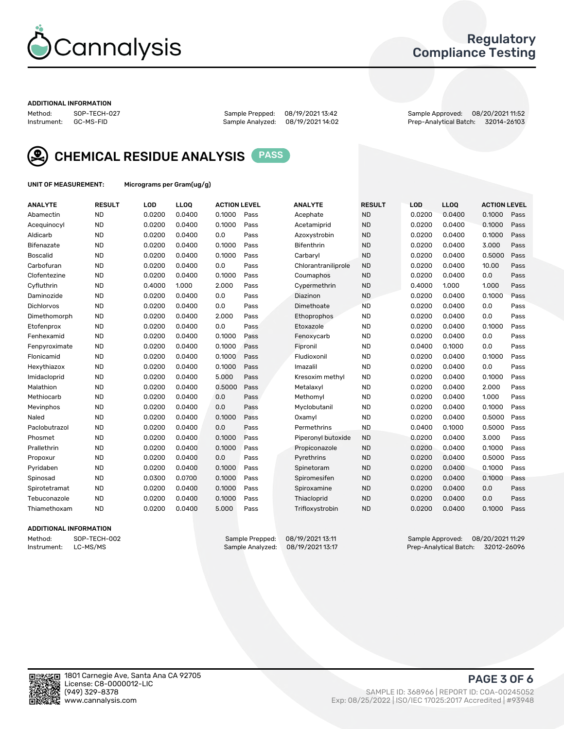

## Regulatory Compliance Testing

#### ADDITIONAL INFORMATION

Sample Analyzed: 08/19/2021 14:02

Method: SOP-TECH-027 Sample Prepped: 08/19/2021 13:42 Sample Approved: 08/20/2021 11:52



CHEMICAL RESIDUE ANALYSIS PASS

UNIT OF MEASUREMENT: Micrograms per Gram(ug/g)

| <b>ANALYTE</b>    | <b>RESULT</b> | LOD    | LLOQ   | <b>ACTION LEVEL</b> |      | <b>ANALYTE</b>      | <b>RESULT</b> | <b>LOD</b> | <b>LLOQ</b> | <b>ACTION LEVEL</b> |      |
|-------------------|---------------|--------|--------|---------------------|------|---------------------|---------------|------------|-------------|---------------------|------|
| Abamectin         | <b>ND</b>     | 0.0200 | 0.0400 | 0.1000              | Pass | Acephate            | <b>ND</b>     | 0.0200     | 0.0400      | 0.1000              | Pass |
| Acequinocyl       | <b>ND</b>     | 0.0200 | 0.0400 | 0.1000              | Pass | Acetamiprid         | <b>ND</b>     | 0.0200     | 0.0400      | 0.1000              | Pass |
| Aldicarb          | <b>ND</b>     | 0.0200 | 0.0400 | 0.0                 | Pass | Azoxystrobin        | <b>ND</b>     | 0.0200     | 0.0400      | 0.1000              | Pass |
| Bifenazate        | <b>ND</b>     | 0.0200 | 0.0400 | 0.1000              | Pass | <b>Bifenthrin</b>   | <b>ND</b>     | 0.0200     | 0.0400      | 3.000               | Pass |
| <b>Boscalid</b>   | <b>ND</b>     | 0.0200 | 0.0400 | 0.1000              | Pass | Carbarvl            | <b>ND</b>     | 0.0200     | 0.0400      | 0.5000              | Pass |
| Carbofuran        | <b>ND</b>     | 0.0200 | 0.0400 | 0.0                 | Pass | Chlorantraniliprole | <b>ND</b>     | 0.0200     | 0.0400      | 10.00               | Pass |
| Clofentezine      | <b>ND</b>     | 0.0200 | 0.0400 | 0.1000              | Pass | Coumaphos           | <b>ND</b>     | 0.0200     | 0.0400      | 0.0                 | Pass |
| Cyfluthrin        | <b>ND</b>     | 0.4000 | 1.000  | 2.000               | Pass | Cypermethrin        | <b>ND</b>     | 0.4000     | 1.000       | 1.000               | Pass |
| Daminozide        | <b>ND</b>     | 0.0200 | 0.0400 | 0.0                 | Pass | Diazinon            | <b>ND</b>     | 0.0200     | 0.0400      | 0.1000              | Pass |
| <b>Dichlorvos</b> | <b>ND</b>     | 0.0200 | 0.0400 | 0.0                 | Pass | Dimethoate          | <b>ND</b>     | 0.0200     | 0.0400      | 0.0                 | Pass |
| Dimethomorph      | <b>ND</b>     | 0.0200 | 0.0400 | 2.000               | Pass | <b>Ethoprophos</b>  | <b>ND</b>     | 0.0200     | 0.0400      | 0.0                 | Pass |
| Etofenprox        | <b>ND</b>     | 0.0200 | 0.0400 | 0.0                 | Pass | Etoxazole           | <b>ND</b>     | 0.0200     | 0.0400      | 0.1000              | Pass |
| Fenhexamid        | <b>ND</b>     | 0.0200 | 0.0400 | 0.1000              | Pass | Fenoxycarb          | <b>ND</b>     | 0.0200     | 0.0400      | 0.0                 | Pass |
| Fenpyroximate     | <b>ND</b>     | 0.0200 | 0.0400 | 0.1000              | Pass | Fipronil            | <b>ND</b>     | 0.0400     | 0.1000      | 0.0                 | Pass |
| Flonicamid        | <b>ND</b>     | 0.0200 | 0.0400 | 0.1000              | Pass | Fludioxonil         | <b>ND</b>     | 0.0200     | 0.0400      | 0.1000              | Pass |
| Hexythiazox       | <b>ND</b>     | 0.0200 | 0.0400 | 0.1000              | Pass | Imazalil            | <b>ND</b>     | 0.0200     | 0.0400      | 0.0                 | Pass |
| Imidacloprid      | <b>ND</b>     | 0.0200 | 0.0400 | 5.000               | Pass | Kresoxim methyl     | <b>ND</b>     | 0.0200     | 0.0400      | 0.1000              | Pass |
| Malathion         | <b>ND</b>     | 0.0200 | 0.0400 | 0.5000              | Pass | Metalaxyl           | <b>ND</b>     | 0.0200     | 0.0400      | 2.000               | Pass |
| Methiocarb        | <b>ND</b>     | 0.0200 | 0.0400 | 0.0                 | Pass | Methomyl            | <b>ND</b>     | 0.0200     | 0.0400      | 1.000               | Pass |
| Mevinphos         | <b>ND</b>     | 0.0200 | 0.0400 | 0.0                 | Pass | Myclobutanil        | <b>ND</b>     | 0.0200     | 0.0400      | 0.1000              | Pass |
| Naled             | <b>ND</b>     | 0.0200 | 0.0400 | 0.1000              | Pass | Oxamyl              | <b>ND</b>     | 0.0200     | 0.0400      | 0.5000              | Pass |
| Paclobutrazol     | <b>ND</b>     | 0.0200 | 0.0400 | 0.0                 | Pass | Permethrins         | <b>ND</b>     | 0.0400     | 0.1000      | 0.5000              | Pass |
| Phosmet           | <b>ND</b>     | 0.0200 | 0.0400 | 0.1000              | Pass | Piperonyl butoxide  | <b>ND</b>     | 0.0200     | 0.0400      | 3.000               | Pass |
| Prallethrin       | <b>ND</b>     | 0.0200 | 0.0400 | 0.1000              | Pass | Propiconazole       | <b>ND</b>     | 0.0200     | 0.0400      | 0.1000              | Pass |
| Propoxur          | <b>ND</b>     | 0.0200 | 0.0400 | 0.0                 | Pass | Pyrethrins          | <b>ND</b>     | 0.0200     | 0.0400      | 0.5000              | Pass |
| Pyridaben         | <b>ND</b>     | 0.0200 | 0.0400 | 0.1000              | Pass | Spinetoram          | <b>ND</b>     | 0.0200     | 0.0400      | 0.1000              | Pass |
| Spinosad          | <b>ND</b>     | 0.0300 | 0.0700 | 0.1000              | Pass | Spiromesifen        | <b>ND</b>     | 0.0200     | 0.0400      | 0.1000              | Pass |
| Spirotetramat     | <b>ND</b>     | 0.0200 | 0.0400 | 0.1000              | Pass | Spiroxamine         | <b>ND</b>     | 0.0200     | 0.0400      | 0.0                 | Pass |
| Tebuconazole      | <b>ND</b>     | 0.0200 | 0.0400 | 0.1000              | Pass | Thiacloprid         | <b>ND</b>     | 0.0200     | 0.0400      | 0.0                 | Pass |
| Thiamethoxam      | <b>ND</b>     | 0.0200 | 0.0400 | 5.000               | Pass | Trifloxystrobin     | <b>ND</b>     | 0.0200     | 0.0400      | 0.1000              | Pass |

#### ADDITIONAL INFORMATION

Method: SOP-TECH-002 Sample Prepped: 08/19/2021 13:11 Sample Approved: 08/20/2021 11:29<br>Instrument: LC-MS/MS Sample Analyzed: 08/19/2021 13:17 Prep-Analytical Batch: 32012-26096 Prep-Analytical Batch: 32012-26096

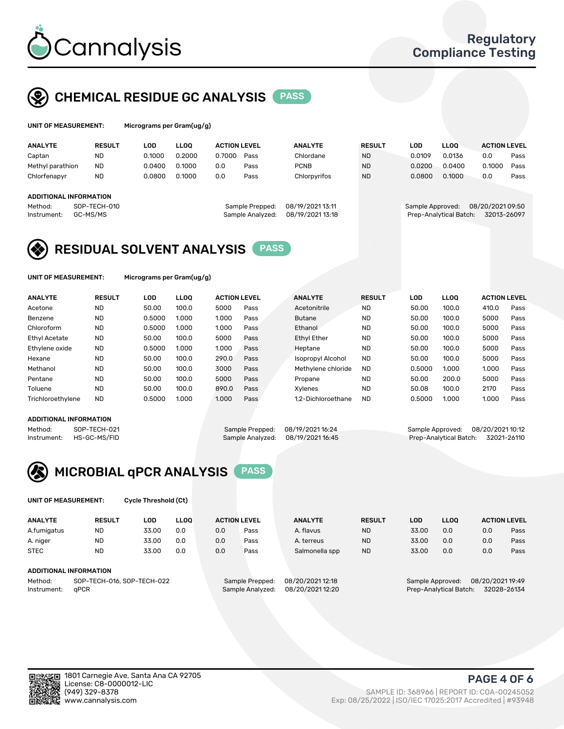

## CHEMICAL RESIDUE GC ANALYSIS PASS

| UNIT OF MEASUREMENT: | Micrograms per |
|----------------------|----------------|
|                      |                |

Gram(ug/g)

| <b>ANALYTE</b>                | <b>RESULT</b>            | LOD    | <b>LLOO</b> | <b>ACTION LEVEL</b> |                                     | <b>ANALYTE</b>                       | <b>RESULT</b> | LOD              | <b>LLOO</b>            | <b>ACTION LEVEL</b>            |      |
|-------------------------------|--------------------------|--------|-------------|---------------------|-------------------------------------|--------------------------------------|---------------|------------------|------------------------|--------------------------------|------|
| Captan                        | <b>ND</b>                | 0.1000 | 0.2000      | 0.7000              | Pass                                | Chlordane                            | <b>ND</b>     | 0.0109           | 0.0136                 | 0.0                            | Pass |
| Methyl parathion              | <b>ND</b>                | 0.0400 | 0.1000      | 0.0                 | Pass                                | <b>PCNB</b>                          | <b>ND</b>     | 0.0200           | 0.0400                 | 0.1000                         | Pass |
| Chlorfenapyr                  | <b>ND</b>                | 0.0800 | 0.1000      | 0.0                 | Pass                                | Chlorpyrifos                         | <b>ND</b>     | 0.0800           | 0.1000                 | 0.0                            | Pass |
| <b>ADDITIONAL INFORMATION</b> |                          |        |             |                     |                                     |                                      |               |                  |                        |                                |      |
| Method:<br>Instrument:        | SOP-TECH-010<br>GC-MS/MS |        |             |                     | Sample Prepped:<br>Sample Analyzed: | 08/19/2021 13:11<br>08/19/2021 13:18 |               | Sample Approved: | Prep-Analytical Batch: | 08/20/202109:50<br>32013-26097 |      |

## RESIDUAL SOLVENT ANALYSIS PASS

UNIT OF MEASUREMENT: Micrograms per Gram(ug/g)

| <b>ANALYTE</b>       | <b>RESULT</b> | <b>LOD</b> | <b>LLOO</b> | <b>ACTION LEVEL</b> |      | <b>ANALYTE</b>     | <b>RESULT</b> | LOD    | <b>LLOO</b> | <b>ACTION LEVEL</b> |      |
|----------------------|---------------|------------|-------------|---------------------|------|--------------------|---------------|--------|-------------|---------------------|------|
| Acetone              | <b>ND</b>     | 50.00      | 100.0       | 5000                | Pass | Acetonitrile       | <b>ND</b>     | 50.00  | 100.0       | 410.0               | Pass |
| Benzene              | <b>ND</b>     | 0.5000     | 1.000       | 1.000               | Pass | <b>Butane</b>      | <b>ND</b>     | 50.00  | 100.0       | 5000                | Pass |
| Chloroform           | <b>ND</b>     | 0.5000     | 1.000       | 1.000               | Pass | Ethanol            | <b>ND</b>     | 50.00  | 100.0       | 5000                | Pass |
| <b>Ethyl Acetate</b> | <b>ND</b>     | 50.00      | 100.0       | 5000                | Pass | <b>Ethyl Ether</b> | <b>ND</b>     | 50.00  | 100.0       | 5000                | Pass |
| Ethylene oxide       | <b>ND</b>     | 0.5000     | 1.000       | 1.000               | Pass | Heptane            | <b>ND</b>     | 50.00  | 100.0       | 5000                | Pass |
| Hexane               | <b>ND</b>     | 50.00      | 100.0       | 290.0               | Pass | Isopropyl Alcohol  | <b>ND</b>     | 50.00  | 100.0       | 5000                | Pass |
| Methanol             | <b>ND</b>     | 50.00      | 100.0       | 3000                | Pass | Methylene chloride | <b>ND</b>     | 0.5000 | 1.000       | 1.000               | Pass |
| Pentane              | <b>ND</b>     | 50.00      | 100.0       | 5000                | Pass | Propane            | <b>ND</b>     | 50.00  | 200.0       | 5000                | Pass |
| Toluene              | <b>ND</b>     | 50.00      | 100.0       | 890.0               | Pass | Xylenes            | <b>ND</b>     | 50.08  | 100.0       | 2170                | Pass |
| Trichloroethylene    | <b>ND</b>     | 0.5000     | 1.000       | 1.000               | Pass | 1.2-Dichloroethane | <b>ND</b>     | 0.5000 | 1.000       | 1.000               | Pass |

#### ADDITIONAL INFORMATION

Method: SOP-TECH-021 Sample Prepped: 08/19/2021 16:24 Sample Approved: 08/20/2021 10:12<br>Sample Analyzed: 08/19/2021 16:45 Prep-Analytical Batch: 32021-26110 Prep-Analytical Batch: 32021-26110



UNIT OF MEASUREMENT: Cycle Threshold (Ct)

| <b>ANALYTE</b> | <b>RESULT</b>              | LOD   | <b>LLOO</b> | <b>ACTION LEVEL</b> |                 | <b>ANALYTE</b>   | <b>RESULT</b> | LOD              | <b>LLOO</b> |                  | <b>ACTION LEVEL</b> |
|----------------|----------------------------|-------|-------------|---------------------|-----------------|------------------|---------------|------------------|-------------|------------------|---------------------|
| A.fumigatus    | <b>ND</b>                  | 33.00 | 0.0         | 0.0                 | Pass            | A. flavus        | <b>ND</b>     | 33.00            | 0.0         | 0.0              | Pass                |
| A. niger       | <b>ND</b>                  | 33.00 | 0.0         | 0.0                 | Pass            | A. terreus       | <b>ND</b>     | 33.00            | 0.0         | 0.0              | Pass                |
| <b>STEC</b>    | <b>ND</b>                  | 33.00 | 0.0         | 0.0                 | Pass            | Salmonella spp   | <b>ND</b>     | 33.00            | 0.0         | 0.0              | Pass                |
|                | ADDITIONAL INFORMATION     |       |             |                     |                 |                  |               |                  |             |                  |                     |
| Method:        | SOP-TECH-016, SOP-TECH-022 |       |             |                     | Sample Prepped: | 08/20/2021 12:18 |               | Sample Approved: |             | 08/20/2021 19:49 |                     |

Instrument: qPCR Sample Analyzed: 08/20/2021 12:20 Prep-Analytical Batch: 32028-26134

PAGE 4 OF 6

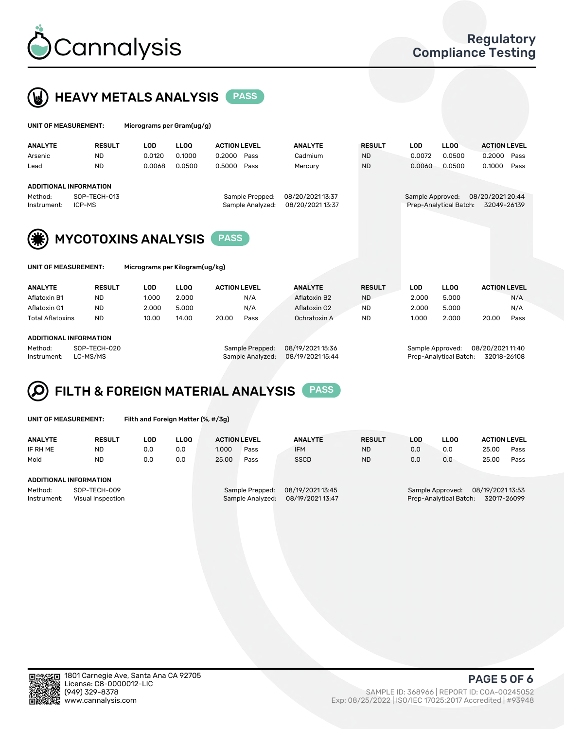



| UNIT OF MEASUREMENT: |                               | Micrograms per Gram(ug/g)      |             |                     |  |                  |               |                  |                        |                     |      |  |
|----------------------|-------------------------------|--------------------------------|-------------|---------------------|--|------------------|---------------|------------------|------------------------|---------------------|------|--|
| <b>ANALYTE</b>       | <b>RESULT</b>                 | <b>LOD</b>                     | <b>LLOO</b> | <b>ACTION LEVEL</b> |  | <b>ANALYTE</b>   | <b>RESULT</b> | <b>LOD</b>       | <b>LLOO</b>            | <b>ACTION LEVEL</b> |      |  |
| Arsenic              | <b>ND</b>                     | 0.0120                         | 0.1000      | 0.2000<br>Pass      |  | Cadmium          | <b>ND</b>     | 0.0072           | 0.0500                 | 0.2000              | Pass |  |
| Lead                 | <b>ND</b>                     | 0.0068                         | 0.0500      | 0.5000<br>Pass      |  | Mercury          | <b>ND</b>     | 0.0060           | 0.0500                 | 0.1000              | Pass |  |
|                      | <b>ADDITIONAL INFORMATION</b> |                                |             |                     |  |                  |               |                  |                        |                     |      |  |
| Method:              | SOP-TECH-013                  |                                |             | Sample Prepped:     |  | 08/20/2021 13:37 |               | Sample Approved: |                        | 08/20/2021 20:44    |      |  |
| Instrument:          | ICP-MS                        |                                |             | Sample Analyzed:    |  | 08/20/2021 13:37 |               |                  | Prep-Analytical Batch: | 32049-26139         |      |  |
| (类)                  | <b>MYCOTOXINS ANALYSIS</b>    |                                |             | <b>PASS</b>         |  |                  |               |                  |                        |                     |      |  |
| UNIT OF MEASUREMENT: |                               | Micrograms per Kilogram(ug/kg) |             |                     |  |                  |               |                  |                        |                     |      |  |

| <b>ANALYTE</b>   | <b>RESULT</b> | LOD   | <b>LLOO</b> | <b>ACTION LEVEL</b> |      | <b>ANALYTE</b> |  | <b>RESULT</b> | LOD   | <b>LLOO</b> | <b>ACTION LEVEL</b> |      |
|------------------|---------------|-------|-------------|---------------------|------|----------------|--|---------------|-------|-------------|---------------------|------|
| Aflatoxin B1     | <b>ND</b>     | 1.000 | 2.000       |                     | N/A  | Aflatoxin B2   |  | <b>ND</b>     | 2.000 | 5.000       |                     | N/A  |
| Aflatoxin G1     | <b>ND</b>     | 2.000 | 5.000       |                     | N/A  | Aflatoxin G2   |  | <b>ND</b>     | 2.000 | 5.000       |                     | N/A  |
| Total Aflatoxins | <b>ND</b>     | 10.00 | 14.00       | 20.00               | Pass | Ochratoxin A   |  | <b>ND</b>     | 1.000 | 2.000       | 20.00               | Pass |

#### ADDITIONAL INFORMATION

Method: SOP-TECH-020 Sample Prepped: 08/19/2021 15:36 Sample Approved: 08/20/2021 11:40 Instrument: LC-MS/MS Sample Analyzed: 08/19/2021 15:44 Prep-Analytical Batch: 32018-26108



| UNIT OF MEASUREMENT: |  |  |  |
|----------------------|--|--|--|
|                      |  |  |  |

Filth and Foreign Matter (%, #/3g)

| <b>ANALYTE</b>                | <b>RESULT</b>                     | LOD | <b>LLOO</b> | <b>ACTION LEVEL</b> |                                     | <b>ANALYTE</b>                       | <b>RESULT</b> | LOD | LLOO             | <b>ACTION LEVEL</b>                                    |      |
|-------------------------------|-----------------------------------|-----|-------------|---------------------|-------------------------------------|--------------------------------------|---------------|-----|------------------|--------------------------------------------------------|------|
| IF RH ME                      | <b>ND</b>                         | 0.0 | 0.0         | 1.000               | Pass                                | <b>IFM</b>                           | <b>ND</b>     | 0.0 | 0.0              | 25.00                                                  | Pass |
| Mold                          | <b>ND</b>                         | 0.0 | 0.0         | 25.00               | Pass                                | <b>SSCD</b>                          | <b>ND</b>     | 0.0 | 0.0              | 25.00                                                  | Pass |
| <b>ADDITIONAL INFORMATION</b> |                                   |     |             |                     |                                     |                                      |               |     |                  |                                                        |      |
| Method:<br>Instrument:        | SOP-TECH-009<br>Visual Inspection |     |             |                     | Sample Prepped:<br>Sample Analyzed: | 08/19/2021 13:45<br>08/19/2021 13:47 |               |     | Sample Approved: | 08/19/2021 13:53<br>Prep-Analytical Batch: 32017-26099 |      |



PAGE 5 OF 6